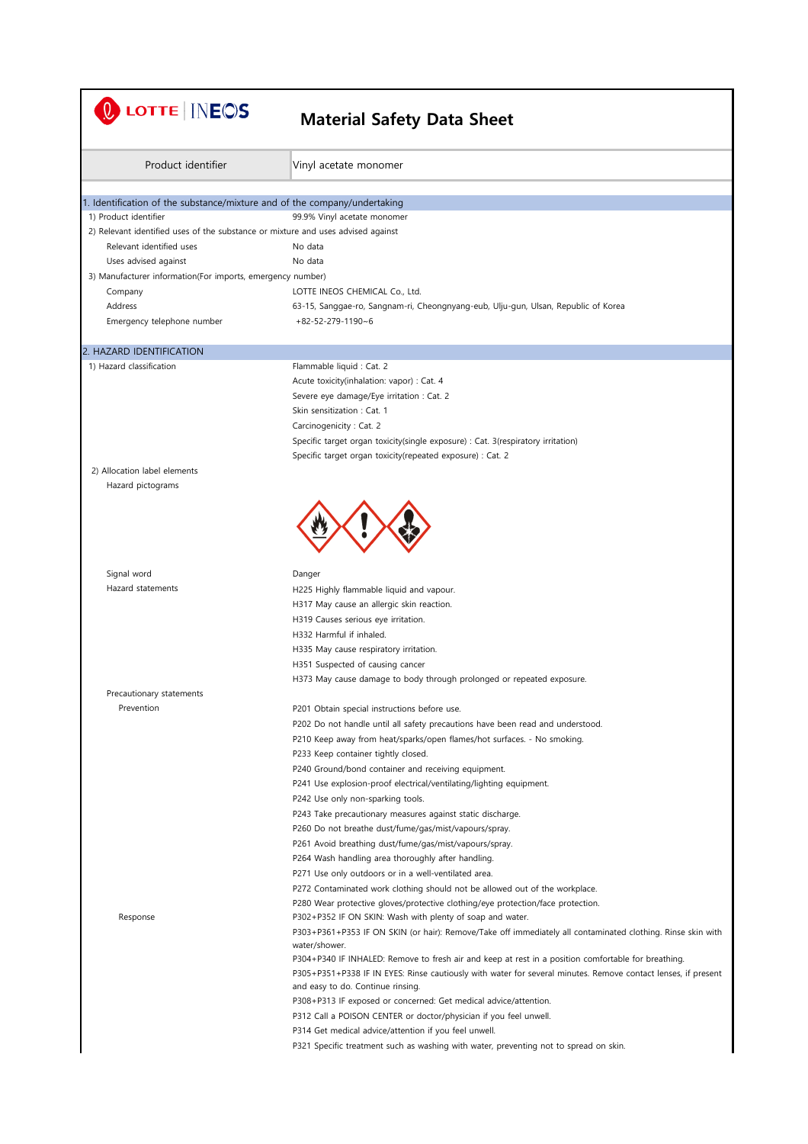| LOTTE   INEOS                                                                    | <b>Material Safety Data Sheet</b>                                                                                            |
|----------------------------------------------------------------------------------|------------------------------------------------------------------------------------------------------------------------------|
| Product identifier                                                               | Vinyl acetate monomer                                                                                                        |
| 1. Identification of the substance/mixture and of the company/undertaking        |                                                                                                                              |
| 1) Product identifier                                                            | 99.9% Vinyl acetate monomer                                                                                                  |
| 2) Relevant identified uses of the substance or mixture and uses advised against |                                                                                                                              |
| Relevant identified uses                                                         | No data                                                                                                                      |
| Uses advised against                                                             | No data                                                                                                                      |
| 3) Manufacturer information(For imports, emergency number)                       |                                                                                                                              |
| Company                                                                          | LOTTE INEOS CHEMICAL Co., Ltd.                                                                                               |
| Address                                                                          | 63-15, Sanggae-ro, Sangnam-ri, Cheongnyang-eub, Ulju-gun, Ulsan, Republic of Korea                                           |
| Emergency telephone number                                                       | $+82 - 52 - 279 - 1190 - 6$                                                                                                  |
| 2. HAZARD IDENTIFICATION                                                         |                                                                                                                              |
| 1) Hazard classification                                                         | Flammable liquid : Cat. 2                                                                                                    |
|                                                                                  | Acute toxicity(inhalation: vapor) : Cat. 4                                                                                   |
|                                                                                  | Severe eye damage/Eye irritation : Cat. 2                                                                                    |
|                                                                                  | Skin sensitization: Cat. 1                                                                                                   |
|                                                                                  | Carcinogenicity: Cat. 2                                                                                                      |
|                                                                                  | Specific target organ toxicity(single exposure) : Cat. 3(respiratory irritation)                                             |
|                                                                                  | Specific target organ toxicity(repeated exposure) : Cat. 2                                                                   |
| 2) Allocation label elements<br>Hazard pictograms                                |                                                                                                                              |
|                                                                                  |                                                                                                                              |
| Signal word                                                                      | Danger                                                                                                                       |
| Hazard statements                                                                | H225 Highly flammable liquid and vapour.                                                                                     |
|                                                                                  | H317 May cause an allergic skin reaction.                                                                                    |
|                                                                                  | H319 Causes serious eye irritation.                                                                                          |
|                                                                                  | H332 Harmful if inhaled.<br>H335 May cause respiratory irritation.                                                           |
|                                                                                  | H351 Suspected of causing cancer                                                                                             |
|                                                                                  | H373 May cause damage to body through prolonged or repeated exposure.                                                        |
| Precautionary statements                                                         |                                                                                                                              |
| Prevention                                                                       | P201 Obtain special instructions before use.                                                                                 |
|                                                                                  | P202 Do not handle until all safety precautions have been read and understood.                                               |
|                                                                                  | P210 Keep away from heat/sparks/open flames/hot surfaces. - No smoking.                                                      |
|                                                                                  | P233 Keep container tightly closed.                                                                                          |
|                                                                                  | P240 Ground/bond container and receiving equipment.                                                                          |
|                                                                                  | P241 Use explosion-proof electrical/ventilating/lighting equipment.                                                          |
|                                                                                  | P242 Use only non-sparking tools.                                                                                            |
|                                                                                  | P243 Take precautionary measures against static discharge.                                                                   |
|                                                                                  | P260 Do not breathe dust/fume/gas/mist/vapours/spray.                                                                        |
|                                                                                  | P261 Avoid breathing dust/fume/gas/mist/vapours/spray.                                                                       |
|                                                                                  | P264 Wash handling area thoroughly after handling.                                                                           |
|                                                                                  | P271 Use only outdoors or in a well-ventilated area.                                                                         |
|                                                                                  | P272 Contaminated work clothing should not be allowed out of the workplace.                                                  |
|                                                                                  | P280 Wear protective gloves/protective clothing/eye protection/face protection.                                              |
| Response                                                                         | P302+P352 IF ON SKIN: Wash with plenty of soap and water.                                                                    |
|                                                                                  | P303+P361+P353 IF ON SKIN (or hair): Remove/Take off immediately all contaminated clothing. Rinse skin with<br>water/shower. |
|                                                                                  | P304+P340 IF INHALED: Remove to fresh air and keep at rest in a position comfortable for breathing.                          |
|                                                                                  | P305+P351+P338 IF IN EYES: Rinse cautiously with water for several minutes. Remove contact lenses, if present                |
|                                                                                  | and easy to do. Continue rinsing.                                                                                            |
|                                                                                  | P308+P313 IF exposed or concerned: Get medical advice/attention.                                                             |
|                                                                                  | P312 Call a POISON CENTER or doctor/physician if you feel unwell.                                                            |
|                                                                                  | P314 Get medical advice/attention if you feel unwell.                                                                        |
|                                                                                  | P321 Specific treatment such as washing with water, preventing not to spread on skin.                                        |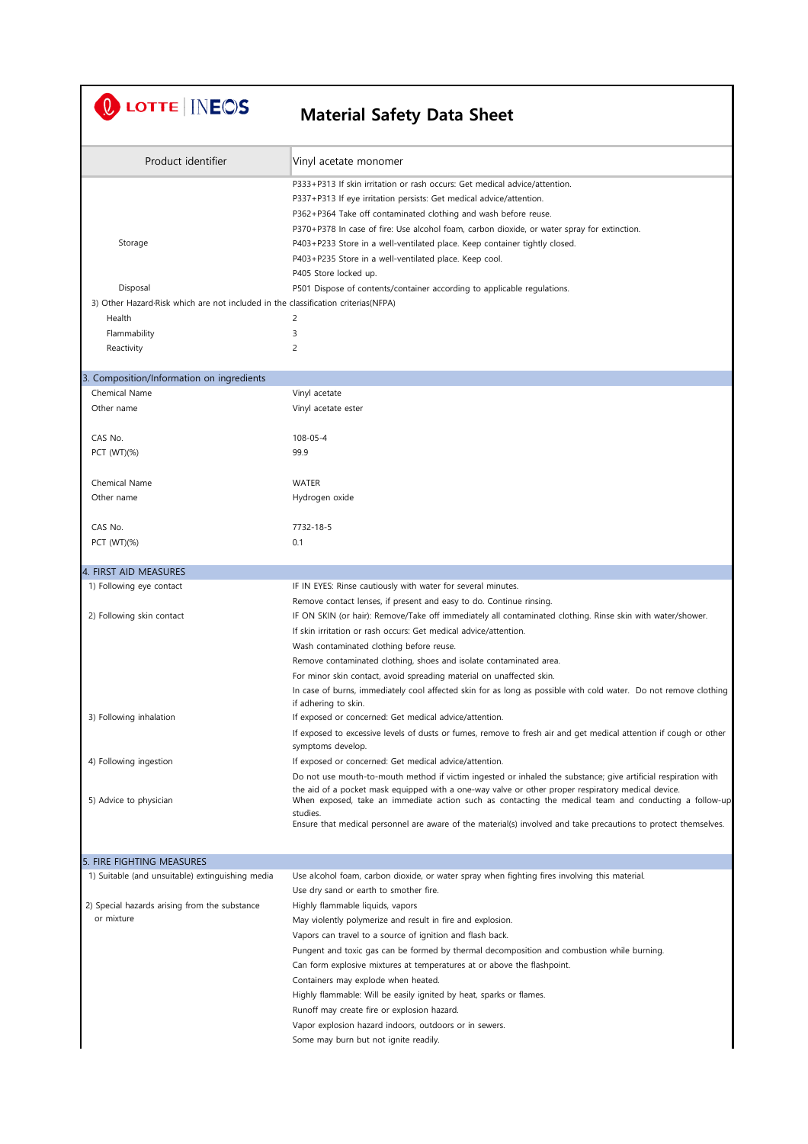U LOTTE | INEOS

| Product identifier                                                                 | Vinyl acetate monomer                                                                                             |
|------------------------------------------------------------------------------------|-------------------------------------------------------------------------------------------------------------------|
|                                                                                    | P333+P313 If skin irritation or rash occurs: Get medical advice/attention.                                        |
|                                                                                    | P337+P313 If eye irritation persists: Get medical advice/attention.                                               |
|                                                                                    | P362+P364 Take off contaminated clothing and wash before reuse.                                                   |
|                                                                                    | P370+P378 In case of fire: Use alcohol foam, carbon dioxide, or water spray for extinction.                       |
| Storage                                                                            | P403+P233 Store in a well-ventilated place. Keep container tightly closed.                                        |
|                                                                                    | P403+P235 Store in a well-ventilated place. Keep cool.                                                            |
|                                                                                    | P405 Store locked up.                                                                                             |
| Disposal                                                                           | P501 Dispose of contents/container according to applicable regulations.                                           |
| 3) Other Hazard Risk which are not included in the classification criterias (NFPA) |                                                                                                                   |
| Health                                                                             | 2                                                                                                                 |
| Flammability                                                                       | 3                                                                                                                 |
| Reactivity                                                                         | $\overline{c}$                                                                                                    |
| 3. Composition/Information on ingredients                                          |                                                                                                                   |
| Chemical Name                                                                      | Vinyl acetate                                                                                                     |
| Other name                                                                         | Vinyl acetate ester                                                                                               |
| CAS No.                                                                            | $108 - 05 - 4$                                                                                                    |
| PCT (WT)(%)                                                                        | 99.9                                                                                                              |
| Chemical Name                                                                      | <b>WATER</b>                                                                                                      |
| Other name                                                                         | Hydrogen oxide                                                                                                    |
|                                                                                    |                                                                                                                   |
| CAS No.                                                                            | 7732-18-5                                                                                                         |
| PCT (WT)(%)                                                                        | 0.1                                                                                                               |
| 4. FIRST AID MEASURES                                                              |                                                                                                                   |
| 1) Following eye contact                                                           | IF IN EYES: Rinse cautiously with water for several minutes.                                                      |
|                                                                                    | Remove contact lenses, if present and easy to do. Continue rinsing.                                               |
| 2) Following skin contact                                                          | IF ON SKIN (or hair): Remove/Take off immediately all contaminated clothing. Rinse skin with water/shower.        |
|                                                                                    | If skin irritation or rash occurs: Get medical advice/attention.                                                  |
|                                                                                    | Wash contaminated clothing before reuse.                                                                          |
|                                                                                    | Remove contaminated clothing, shoes and isolate contaminated area.                                                |
|                                                                                    | For minor skin contact, avoid spreading material on unaffected skin.                                              |
|                                                                                    | In case of burns, immediately cool affected skin for as long as possible with cold water. Do not remove clothing  |
| 3) Following inhalation                                                            | if adhering to skin.<br>If exposed or concerned: Get medical advice/attention.                                    |
|                                                                                    | If exposed to excessive levels of dusts or fumes, remove to fresh air and get medical attention if cough or other |
|                                                                                    | symptoms develop.                                                                                                 |
| 4) Following ingestion                                                             | If exposed or concerned: Get medical advice/attention.                                                            |
|                                                                                    | Do not use mouth-to-mouth method if victim ingested or inhaled the substance; give artificial respiration with    |
|                                                                                    | the aid of a pocket mask equipped with a one-way valve or other proper respiratory medical device.                |
| 5) Advice to physician                                                             | When exposed, take an immediate action such as contacting the medical team and conducting a follow-up<br>studies. |
|                                                                                    | Ensure that medical personnel are aware of the material(s) involved and take precautions to protect themselves.   |
|                                                                                    |                                                                                                                   |
| 5. FIRE FIGHTING MEASURES                                                          |                                                                                                                   |
| 1) Suitable (and unsuitable) extinguishing media                                   | Use alcohol foam, carbon dioxide, or water spray when fighting fires involving this material.                     |
| 2) Special hazards arising from the substance                                      | Use dry sand or earth to smother fire.                                                                            |
| or mixture                                                                         | Highly flammable liquids, vapors<br>May violently polymerize and result in fire and explosion.                    |
|                                                                                    | Vapors can travel to a source of ignition and flash back.                                                         |
|                                                                                    | Pungent and toxic gas can be formed by thermal decomposition and combustion while burning.                        |
|                                                                                    | Can form explosive mixtures at temperatures at or above the flashpoint.                                           |
|                                                                                    | Containers may explode when heated.                                                                               |
|                                                                                    | Highly flammable: Will be easily ignited by heat, sparks or flames.                                               |
|                                                                                    | Runoff may create fire or explosion hazard.                                                                       |
|                                                                                    | Vapor explosion hazard indoors, outdoors or in sewers.                                                            |
|                                                                                    | Some may burn but not ignite readily.                                                                             |
|                                                                                    |                                                                                                                   |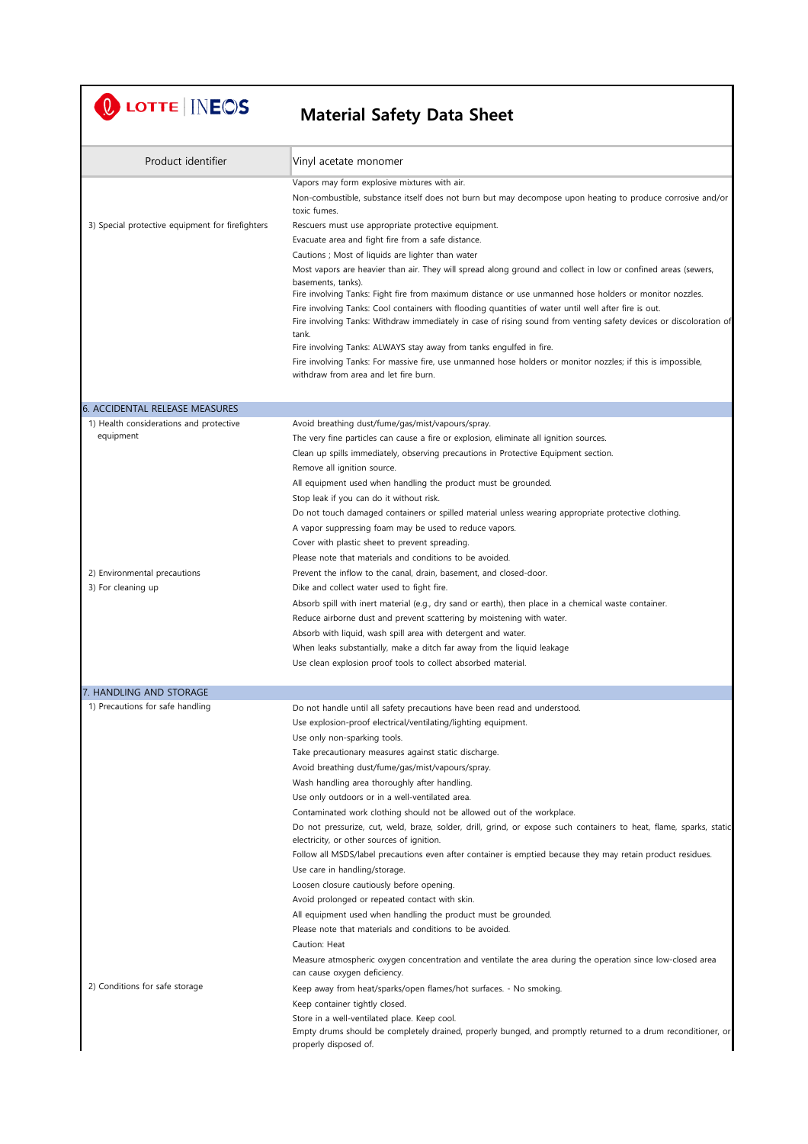U LOTTE INEOS

| Product identifier                               | Vinyl acetate monomer                                                                                                                                                                                                       |
|--------------------------------------------------|-----------------------------------------------------------------------------------------------------------------------------------------------------------------------------------------------------------------------------|
|                                                  | Vapors may form explosive mixtures with air.                                                                                                                                                                                |
|                                                  | Non-combustible, substance itself does not burn but may decompose upon heating to produce corrosive and/or<br>toxic fumes.                                                                                                  |
| 3) Special protective equipment for firefighters | Rescuers must use appropriate protective equipment.                                                                                                                                                                         |
|                                                  | Evacuate area and fight fire from a safe distance.                                                                                                                                                                          |
|                                                  | Cautions ; Most of liquids are lighter than water                                                                                                                                                                           |
|                                                  | Most vapors are heavier than air. They will spread along ground and collect in low or confined areas (sewers,<br>basements, tanks).                                                                                         |
|                                                  | Fire involving Tanks: Fight fire from maximum distance or use unmanned hose holders or monitor nozzles.                                                                                                                     |
|                                                  | Fire involving Tanks: Cool containers with flooding quantities of water until well after fire is out.<br>Fire involving Tanks: Withdraw immediately in case of rising sound from venting safety devices or discoloration of |
|                                                  | tank.<br>Fire involving Tanks: ALWAYS stay away from tanks engulfed in fire.                                                                                                                                                |
|                                                  | Fire involving Tanks: For massive fire, use unmanned hose holders or monitor nozzles; if this is impossible,                                                                                                                |
|                                                  | withdraw from area and let fire burn.                                                                                                                                                                                       |
| <b>6. ACCIDENTAL RELEASE MEASURES</b>            |                                                                                                                                                                                                                             |
| 1) Health considerations and protective          | Avoid breathing dust/fume/gas/mist/vapours/spray.                                                                                                                                                                           |
| equipment                                        | The very fine particles can cause a fire or explosion, eliminate all ignition sources.                                                                                                                                      |
|                                                  | Clean up spills immediately, observing precautions in Protective Equipment section.                                                                                                                                         |
|                                                  | Remove all ignition source.                                                                                                                                                                                                 |
|                                                  | All equipment used when handling the product must be grounded.                                                                                                                                                              |
|                                                  | Stop leak if you can do it without risk.                                                                                                                                                                                    |
|                                                  | Do not touch damaged containers or spilled material unless wearing appropriate protective clothing.                                                                                                                         |
|                                                  | A vapor suppressing foam may be used to reduce vapors.<br>Cover with plastic sheet to prevent spreading.                                                                                                                    |
|                                                  | Please note that materials and conditions to be avoided.                                                                                                                                                                    |
| 2) Environmental precautions                     | Prevent the inflow to the canal, drain, basement, and closed-door.                                                                                                                                                          |
| 3) For cleaning up                               | Dike and collect water used to fight fire.                                                                                                                                                                                  |
|                                                  | Absorb spill with inert material (e.g., dry sand or earth), then place in a chemical waste container.                                                                                                                       |
|                                                  | Reduce airborne dust and prevent scattering by moistening with water.                                                                                                                                                       |
|                                                  | Absorb with liquid, wash spill area with detergent and water.                                                                                                                                                               |
|                                                  | When leaks substantially, make a ditch far away from the liquid leakage                                                                                                                                                     |
|                                                  | Use clean explosion proof tools to collect absorbed material.                                                                                                                                                               |
| 7. HANDLING AND STORAGE                          |                                                                                                                                                                                                                             |
| 1) Precautions for safe handling                 | Do not handle until all safety precautions have been read and understood.                                                                                                                                                   |
|                                                  | Use explosion-proof electrical/ventilating/lighting equipment.                                                                                                                                                              |
|                                                  | Use only non-sparking tools.                                                                                                                                                                                                |
|                                                  | Take precautionary measures against static discharge.                                                                                                                                                                       |
|                                                  | Avoid breathing dust/fume/gas/mist/vapours/spray.                                                                                                                                                                           |
|                                                  | Wash handling area thoroughly after handling.                                                                                                                                                                               |
|                                                  | Use only outdoors or in a well-ventilated area.<br>Contaminated work clothing should not be allowed out of the workplace.                                                                                                   |
|                                                  | Do not pressurize, cut, weld, braze, solder, drill, grind, or expose such containers to heat, flame, sparks, static                                                                                                         |
|                                                  | electricity, or other sources of ignition.                                                                                                                                                                                  |
|                                                  | Follow all MSDS/label precautions even after container is emptied because they may retain product residues.                                                                                                                 |
|                                                  | Use care in handling/storage.                                                                                                                                                                                               |
|                                                  | Loosen closure cautiously before opening.                                                                                                                                                                                   |
|                                                  | Avoid prolonged or repeated contact with skin.                                                                                                                                                                              |
|                                                  | All equipment used when handling the product must be grounded.                                                                                                                                                              |
|                                                  | Please note that materials and conditions to be avoided.<br>Caution: Heat                                                                                                                                                   |
|                                                  | Measure atmospheric oxygen concentration and ventilate the area during the operation since low-closed area<br>can cause oxygen deficiency.                                                                                  |
| 2) Conditions for safe storage                   | Keep away from heat/sparks/open flames/hot surfaces. - No smoking.                                                                                                                                                          |
|                                                  | Keep container tightly closed.                                                                                                                                                                                              |
|                                                  | Store in a well-ventilated place. Keep cool.                                                                                                                                                                                |
|                                                  | Empty drums should be completely drained, properly bunged, and promptly returned to a drum reconditioner, or<br>properly disposed of.                                                                                       |
|                                                  |                                                                                                                                                                                                                             |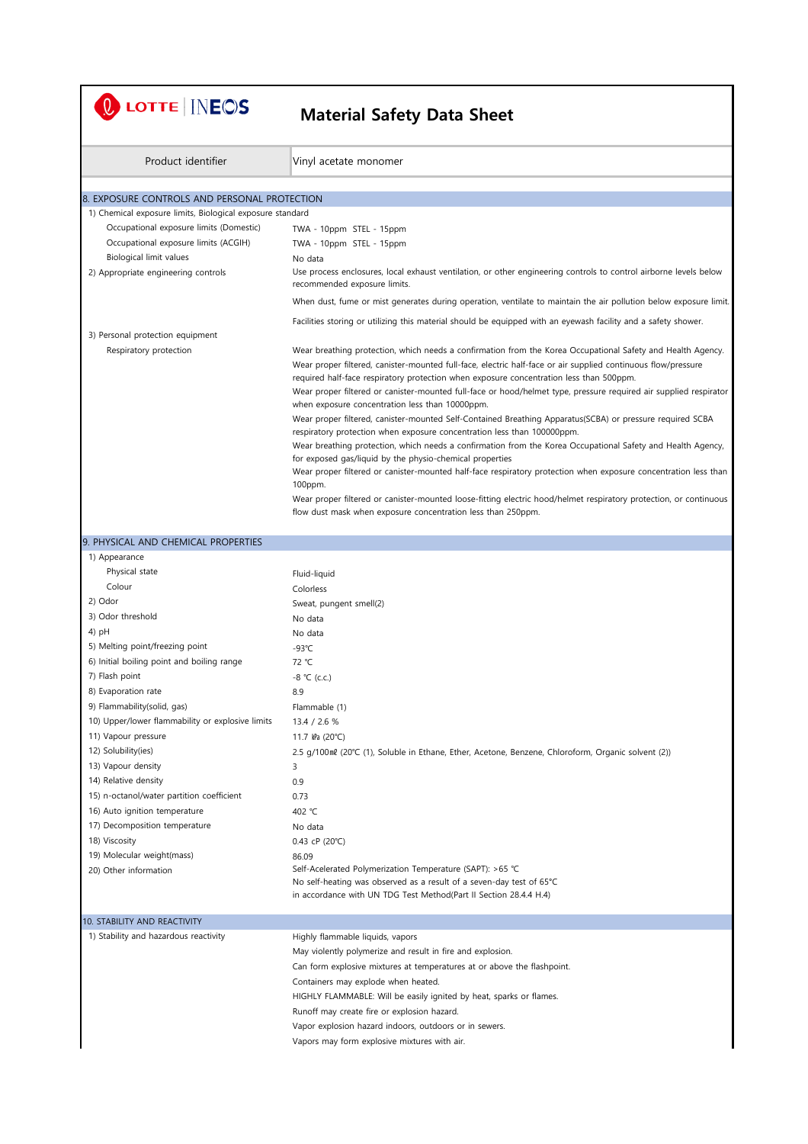| LOTTE <b>INEOS</b>                                        | <b>Material Safety Data Sheet</b>                                                                                                                                                                                                                                                                                                                                                                                                                                                                                                                                                                                                                                                       |
|-----------------------------------------------------------|-----------------------------------------------------------------------------------------------------------------------------------------------------------------------------------------------------------------------------------------------------------------------------------------------------------------------------------------------------------------------------------------------------------------------------------------------------------------------------------------------------------------------------------------------------------------------------------------------------------------------------------------------------------------------------------------|
| Product identifier                                        | Vinyl acetate monomer                                                                                                                                                                                                                                                                                                                                                                                                                                                                                                                                                                                                                                                                   |
| 8. EXPOSURE CONTROLS AND PERSONAL PROTECTION              |                                                                                                                                                                                                                                                                                                                                                                                                                                                                                                                                                                                                                                                                                         |
| 1) Chemical exposure limits, Biological exposure standard |                                                                                                                                                                                                                                                                                                                                                                                                                                                                                                                                                                                                                                                                                         |
| Occupational exposure limits (Domestic)                   | TWA - 10ppm STEL - 15ppm                                                                                                                                                                                                                                                                                                                                                                                                                                                                                                                                                                                                                                                                |
| Occupational exposure limits (ACGIH)                      | TWA - 10ppm STEL - 15ppm                                                                                                                                                                                                                                                                                                                                                                                                                                                                                                                                                                                                                                                                |
| Biological limit values                                   | No data                                                                                                                                                                                                                                                                                                                                                                                                                                                                                                                                                                                                                                                                                 |
| 2) Appropriate engineering controls                       | Use process enclosures, local exhaust ventilation, or other engineering controls to control airborne levels below<br>recommended exposure limits.                                                                                                                                                                                                                                                                                                                                                                                                                                                                                                                                       |
|                                                           | When dust, fume or mist generates during operation, ventilate to maintain the air pollution below exposure limit.                                                                                                                                                                                                                                                                                                                                                                                                                                                                                                                                                                       |
|                                                           | Facilities storing or utilizing this material should be equipped with an eyewash facility and a safety shower.                                                                                                                                                                                                                                                                                                                                                                                                                                                                                                                                                                          |
| 3) Personal protection equipment                          |                                                                                                                                                                                                                                                                                                                                                                                                                                                                                                                                                                                                                                                                                         |
| Respiratory protection                                    | Wear breathing protection, which needs a confirmation from the Korea Occupational Safety and Health Agency.<br>Wear proper filtered, canister-mounted full-face, electric half-face or air supplied continuous flow/pressure<br>required half-face respiratory protection when exposure concentration less than 500ppm.<br>Wear proper filtered or canister-mounted full-face or hood/helmet type, pressure required air supplied respirator<br>when exposure concentration less than 10000ppm.<br>Wear proper filtered, canister-mounted Self-Contained Breathing Apparatus(SCBA) or pressure required SCBA<br>respiratory protection when exposure concentration less than 100000ppm. |
|                                                           | Wear breathing protection, which needs a confirmation from the Korea Occupational Safety and Health Agency,                                                                                                                                                                                                                                                                                                                                                                                                                                                                                                                                                                             |
|                                                           | for exposed gas/liquid by the physio-chemical properties                                                                                                                                                                                                                                                                                                                                                                                                                                                                                                                                                                                                                                |
|                                                           | Wear proper filtered or canister-mounted half-face respiratory protection when exposure concentration less than                                                                                                                                                                                                                                                                                                                                                                                                                                                                                                                                                                         |
|                                                           | 100ppm.<br>Wear proper filtered or canister-mounted loose-fitting electric hood/helmet respiratory protection, or continuous                                                                                                                                                                                                                                                                                                                                                                                                                                                                                                                                                            |
|                                                           | flow dust mask when exposure concentration less than 250ppm.                                                                                                                                                                                                                                                                                                                                                                                                                                                                                                                                                                                                                            |
|                                                           |                                                                                                                                                                                                                                                                                                                                                                                                                                                                                                                                                                                                                                                                                         |
| 9. PHYSICAL AND CHEMICAL PROPERTIES                       |                                                                                                                                                                                                                                                                                                                                                                                                                                                                                                                                                                                                                                                                                         |
| 1) Appearance<br>Physical state                           |                                                                                                                                                                                                                                                                                                                                                                                                                                                                                                                                                                                                                                                                                         |
| Colour                                                    | Fluid-liquid                                                                                                                                                                                                                                                                                                                                                                                                                                                                                                                                                                                                                                                                            |
| 2) Odor                                                   | Colorless                                                                                                                                                                                                                                                                                                                                                                                                                                                                                                                                                                                                                                                                               |
| 3) Odor threshold                                         | Sweat, pungent smell(2)<br>No data                                                                                                                                                                                                                                                                                                                                                                                                                                                                                                                                                                                                                                                      |
| 4) $pH$                                                   | No data                                                                                                                                                                                                                                                                                                                                                                                                                                                                                                                                                                                                                                                                                 |
| 5) Melting point/freezing point                           | $-93^{\circ}$ C                                                                                                                                                                                                                                                                                                                                                                                                                                                                                                                                                                                                                                                                         |
| 6) Initial boiling point and boiling range                | 72 °C                                                                                                                                                                                                                                                                                                                                                                                                                                                                                                                                                                                                                                                                                   |
| 7) Flash point                                            | $-8$ °C (c.c.)                                                                                                                                                                                                                                                                                                                                                                                                                                                                                                                                                                                                                                                                          |
| 8) Evaporation rate                                       | 8.9                                                                                                                                                                                                                                                                                                                                                                                                                                                                                                                                                                                                                                                                                     |
| 9) Flammability(solid, gas)                               | Flammable (1)                                                                                                                                                                                                                                                                                                                                                                                                                                                                                                                                                                                                                                                                           |
| 10) Upper/lower flammability or explosive limits          | 13.4 / 2.6 %                                                                                                                                                                                                                                                                                                                                                                                                                                                                                                                                                                                                                                                                            |
| 11) Vapour pressure                                       | 11.7 kPa (20°C)                                                                                                                                                                                                                                                                                                                                                                                                                                                                                                                                                                                                                                                                         |
| 12) Solubility(ies)                                       | 2.5 g/100ml (20°C (1), Soluble in Ethane, Ether, Acetone, Benzene, Chloroform, Organic solvent (2))                                                                                                                                                                                                                                                                                                                                                                                                                                                                                                                                                                                     |
| 13) Vapour density                                        | 3                                                                                                                                                                                                                                                                                                                                                                                                                                                                                                                                                                                                                                                                                       |
| 14) Relative density                                      | 0.9                                                                                                                                                                                                                                                                                                                                                                                                                                                                                                                                                                                                                                                                                     |
| 15) n-octanol/water partition coefficient                 | 0.73                                                                                                                                                                                                                                                                                                                                                                                                                                                                                                                                                                                                                                                                                    |
| 16) Auto ignition temperature                             | 402 °C                                                                                                                                                                                                                                                                                                                                                                                                                                                                                                                                                                                                                                                                                  |
| 17) Decomposition temperature                             | No data                                                                                                                                                                                                                                                                                                                                                                                                                                                                                                                                                                                                                                                                                 |
| 18) Viscosity                                             | 0.43 cP (20°C)                                                                                                                                                                                                                                                                                                                                                                                                                                                                                                                                                                                                                                                                          |
| 19) Molecular weight(mass)<br>20) Other information       | 86.09<br>Self-Acelerated Polymerization Temperature (SAPT): >65 °C<br>No self-heating was observed as a result of a seven-day test of 65°C<br>in accordance with UN TDG Test Method(Part II Section 28.4.4 H.4)                                                                                                                                                                                                                                                                                                                                                                                                                                                                         |
| 10. STABILITY AND REACTIVITY                              |                                                                                                                                                                                                                                                                                                                                                                                                                                                                                                                                                                                                                                                                                         |
| 1) Stability and hazardous reactivity                     | Highly flammable liquids, vapors                                                                                                                                                                                                                                                                                                                                                                                                                                                                                                                                                                                                                                                        |
|                                                           | May violently polymerize and result in fire and explosion.                                                                                                                                                                                                                                                                                                                                                                                                                                                                                                                                                                                                                              |
|                                                           | Can form explosive mixtures at temperatures at or above the flashpoint.                                                                                                                                                                                                                                                                                                                                                                                                                                                                                                                                                                                                                 |
|                                                           | Containers may explode when heated.                                                                                                                                                                                                                                                                                                                                                                                                                                                                                                                                                                                                                                                     |
|                                                           | HIGHLY FLAMMABLE: Will be easily ignited by heat, sparks or flames.                                                                                                                                                                                                                                                                                                                                                                                                                                                                                                                                                                                                                     |
|                                                           | Runoff may create fire or explosion hazard.                                                                                                                                                                                                                                                                                                                                                                                                                                                                                                                                                                                                                                             |
|                                                           | Vapor explosion hazard indoors, outdoors or in sewers.                                                                                                                                                                                                                                                                                                                                                                                                                                                                                                                                                                                                                                  |
|                                                           | Vapors may form explosive mixtures with air.                                                                                                                                                                                                                                                                                                                                                                                                                                                                                                                                                                                                                                            |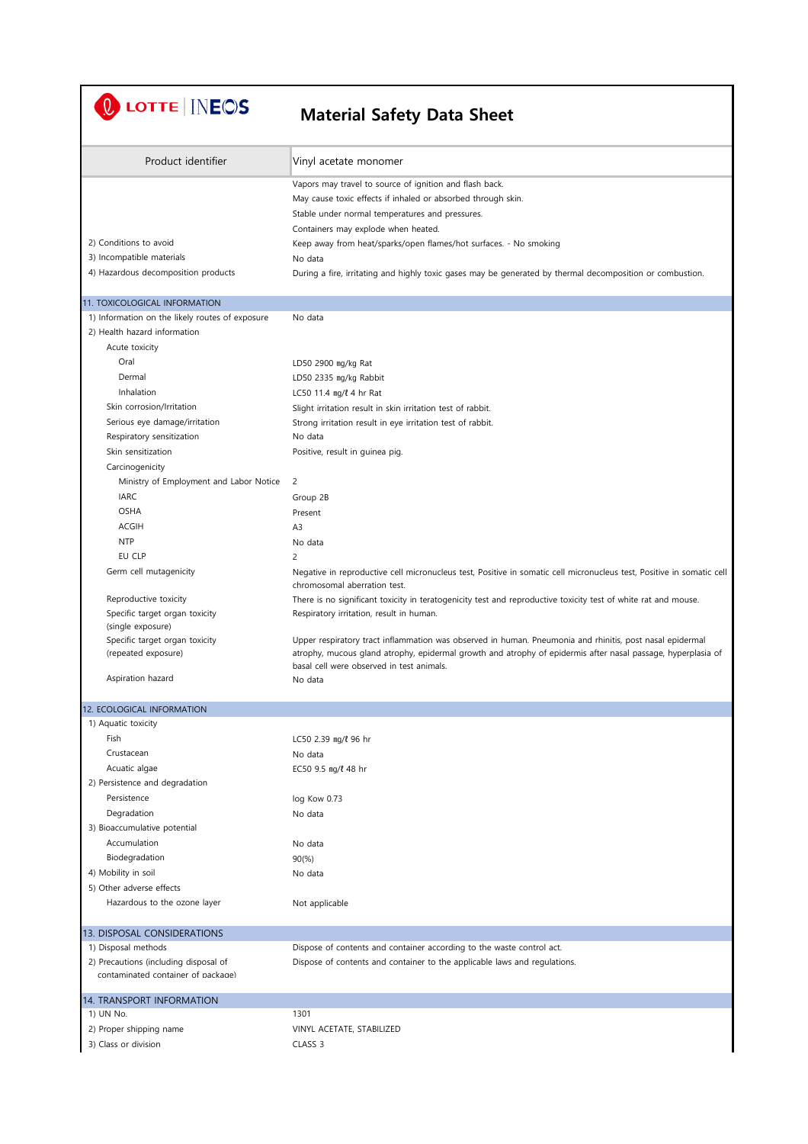U LOTTE | INEOS

| Product identifier                                  | Vinyl acetate monomer                                                                                                                                     |
|-----------------------------------------------------|-----------------------------------------------------------------------------------------------------------------------------------------------------------|
|                                                     | Vapors may travel to source of ignition and flash back.                                                                                                   |
|                                                     | May cause toxic effects if inhaled or absorbed through skin.                                                                                              |
|                                                     | Stable under normal temperatures and pressures.                                                                                                           |
|                                                     | Containers may explode when heated.                                                                                                                       |
| 2) Conditions to avoid                              | Keep away from heat/sparks/open flames/hot surfaces. - No smoking                                                                                         |
| 3) Incompatible materials                           | No data                                                                                                                                                   |
| 4) Hazardous decomposition products                 | During a fire, irritating and highly toxic gases may be generated by thermal decomposition or combustion.                                                 |
| 11. TOXICOLOGICAL INFORMATION                       |                                                                                                                                                           |
| 1) Information on the likely routes of exposure     | No data                                                                                                                                                   |
| 2) Health hazard information                        |                                                                                                                                                           |
| Acute toxicity                                      |                                                                                                                                                           |
| Oral                                                | LD50 2900 mg/kg Rat                                                                                                                                       |
| Dermal                                              | LD50 2335 mg/kg Rabbit                                                                                                                                    |
| Inhalation                                          | LC50 11.4 mg/ $\ell$ 4 hr Rat                                                                                                                             |
| Skin corrosion/Irritation                           | Slight irritation result in skin irritation test of rabbit.                                                                                               |
| Serious eye damage/irritation                       | Strong irritation result in eye irritation test of rabbit.                                                                                                |
| Respiratory sensitization                           | No data                                                                                                                                                   |
| Skin sensitization                                  | Positive, result in guinea pig.                                                                                                                           |
| Carcinogenicity                                     |                                                                                                                                                           |
| Ministry of Employment and Labor Notice             | 2                                                                                                                                                         |
| <b>IARC</b>                                         | Group 2B                                                                                                                                                  |
| <b>OSHA</b>                                         | Present                                                                                                                                                   |
| <b>ACGIH</b>                                        | A <sub>3</sub>                                                                                                                                            |
| <b>NTP</b><br>EU CLP                                | No data                                                                                                                                                   |
|                                                     | 2                                                                                                                                                         |
| Germ cell mutagenicity                              | Negative in reproductive cell micronucleus test, Positive in somatic cell micronucleus test, Positive in somatic cell<br>chromosomal aberration test.     |
| Reproductive toxicity                               | There is no significant toxicity in teratogenicity test and reproductive toxicity test of white rat and mouse.                                            |
| Specific target organ toxicity<br>(single exposure) | Respiratory irritation, result in human.                                                                                                                  |
| Specific target organ toxicity                      | Upper respiratory tract inflammation was observed in human. Pneumonia and rhinitis, post nasal epidermal                                                  |
| (repeated exposure)                                 | atrophy, mucous gland atrophy, epidermal growth and atrophy of epidermis after nasal passage, hyperplasia of<br>basal cell were observed in test animals. |
| Aspiration hazard                                   | No data                                                                                                                                                   |
| 12. ECOLOGICAL INFORMATION                          |                                                                                                                                                           |
| 1) Aquatic toxicity                                 |                                                                                                                                                           |
| Fish                                                | LC50 2.39 mg/l 96 hr                                                                                                                                      |
| Crustacean                                          | No data                                                                                                                                                   |
| Acuatic algae                                       | EC50 9.5 mg/l 48 hr                                                                                                                                       |
| 2) Persistence and degradation                      |                                                                                                                                                           |
| Persistence                                         | log Kow 0.73                                                                                                                                              |
| Degradation                                         | No data                                                                                                                                                   |
| 3) Bioaccumulative potential                        |                                                                                                                                                           |
| Accumulation                                        | No data                                                                                                                                                   |
| Biodegradation                                      | 90(% )                                                                                                                                                    |
| 4) Mobility in soil                                 | No data                                                                                                                                                   |
| 5) Other adverse effects                            |                                                                                                                                                           |
| Hazardous to the ozone layer                        | Not applicable                                                                                                                                            |
| 13. DISPOSAL CONSIDERATIONS                         |                                                                                                                                                           |
| 1) Disposal methods                                 | Dispose of contents and container according to the waste control act.                                                                                     |
| 2) Precautions (including disposal of               | Dispose of contents and container to the applicable laws and regulations.                                                                                 |
| contaminated container of nackage)                  |                                                                                                                                                           |
| 14. TRANSPORT INFORMATION                           |                                                                                                                                                           |
| 1) UN No.                                           | 1301                                                                                                                                                      |
| 2) Proper shipping name                             | VINYL ACETATE, STABILIZED                                                                                                                                 |
| 3) Class or division                                | CLASS <sub>3</sub>                                                                                                                                        |
|                                                     |                                                                                                                                                           |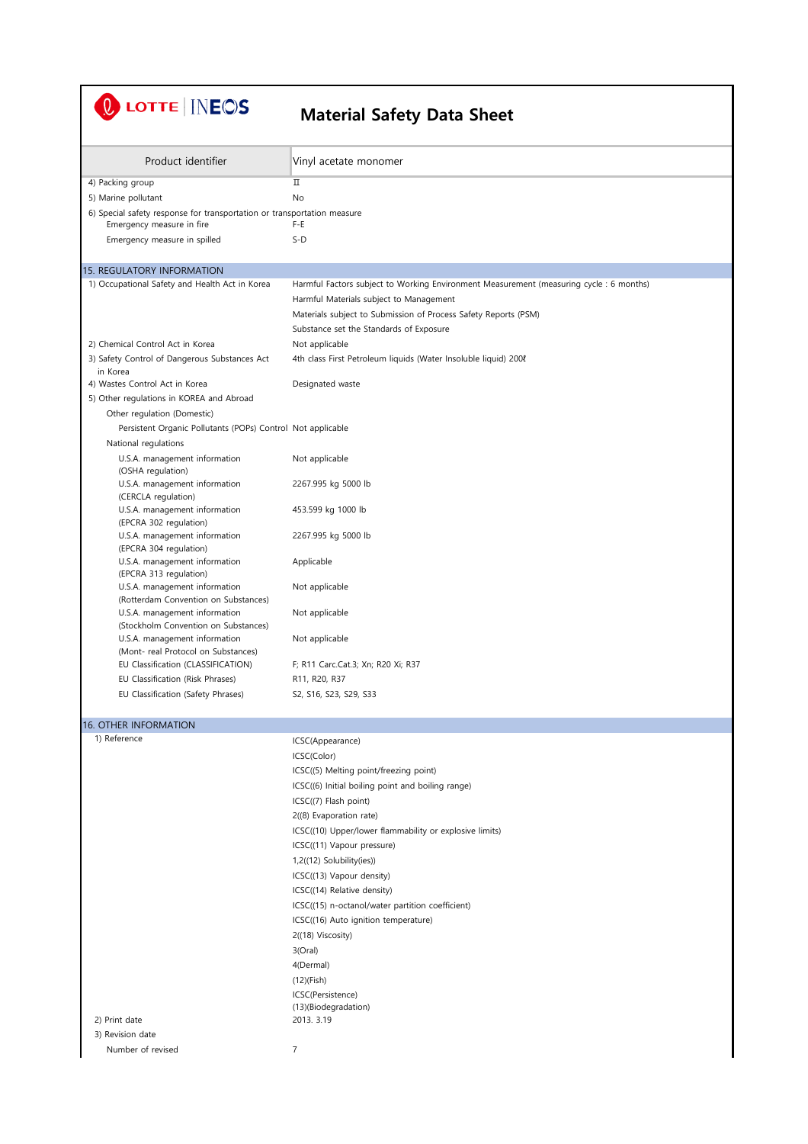# U LOTTE INEOS

| Product identifier                                                                                   | Vinyl acetate monomer                                                                   |
|------------------------------------------------------------------------------------------------------|-----------------------------------------------------------------------------------------|
| 4) Packing group                                                                                     | П                                                                                       |
| 5) Marine pollutant                                                                                  | No                                                                                      |
| 6) Special safety response for transportation or transportation measure<br>Emergency measure in fire | F-E                                                                                     |
| Emergency measure in spilled                                                                         | $S-D$                                                                                   |
| <b>15. REGULATORY INFORMATION</b>                                                                    |                                                                                         |
| 1) Occupational Safety and Health Act in Korea                                                       | Harmful Factors subject to Working Environment Measurement (measuring cycle : 6 months) |
|                                                                                                      | Harmful Materials subject to Management                                                 |
|                                                                                                      | Materials subject to Submission of Process Safety Reports (PSM)                         |
|                                                                                                      | Substance set the Standards of Exposure                                                 |
| 2) Chemical Control Act in Korea                                                                     | Not applicable                                                                          |
| 3) Safety Control of Dangerous Substances Act                                                        | 4th class First Petroleum liquids (Water Insoluble liquid) 2008                         |
| in Korea<br>4) Wastes Control Act in Korea                                                           | Designated waste                                                                        |
| 5) Other regulations in KOREA and Abroad                                                             |                                                                                         |
| Other regulation (Domestic)                                                                          |                                                                                         |
| Persistent Organic Pollutants (POPs) Control Not applicable                                          |                                                                                         |
| National regulations                                                                                 |                                                                                         |
| U.S.A. management information<br>(OSHA regulation)                                                   | Not applicable                                                                          |
| U.S.A. management information<br>(CERCLA regulation)                                                 | 2267.995 kg 5000 lb                                                                     |
| U.S.A. management information<br>(EPCRA 302 regulation)                                              | 453.599 kg 1000 lb                                                                      |
| U.S.A. management information<br>(EPCRA 304 regulation)                                              | 2267.995 kg 5000 lb                                                                     |
| U.S.A. management information<br>(EPCRA 313 regulation)                                              | Applicable                                                                              |
| U.S.A. management information<br>(Rotterdam Convention on Substances)                                | Not applicable                                                                          |
| U.S.A. management information<br>(Stockholm Convention on Substances)                                | Not applicable                                                                          |
| U.S.A. management information<br>(Mont- real Protocol on Substances)                                 | Not applicable                                                                          |
| EU Classification (CLASSIFICATION)                                                                   | F; R11 Carc.Cat.3; Xn; R20 Xi; R37                                                      |
| EU Classification (Risk Phrases)                                                                     | R11, R20, R37                                                                           |
| EU Classification (Safety Phrases)                                                                   | S2, S16, S23, S29, S33                                                                  |
| <b>16. OTHER INFORMATION</b>                                                                         |                                                                                         |
| 1) Reference                                                                                         | ICSC(Appearance)                                                                        |
|                                                                                                      | ICSC(Color)                                                                             |
|                                                                                                      | ICSC((5) Melting point/freezing point)                                                  |
|                                                                                                      | ICSC((6) Initial boiling point and boiling range)                                       |
|                                                                                                      | ICSC((7) Flash point)                                                                   |
|                                                                                                      | 2((8) Evaporation rate)                                                                 |
|                                                                                                      | ICSC((10) Upper/lower flammability or explosive limits)                                 |
|                                                                                                      | ICSC((11) Vapour pressure)                                                              |
|                                                                                                      | 1,2((12) Solubility(ies))                                                               |
|                                                                                                      | ICSC((13) Vapour density)                                                               |
|                                                                                                      | ICSC((14) Relative density)                                                             |
|                                                                                                      | ICSC((15) n-octanol/water partition coefficient)                                        |
|                                                                                                      | ICSC((16) Auto ignition temperature)                                                    |
|                                                                                                      | 2((18) Viscosity)                                                                       |
|                                                                                                      | 3(Oral)                                                                                 |
|                                                                                                      | 4(Dermal)                                                                               |
|                                                                                                      | $(12)$ (Fish)                                                                           |
|                                                                                                      | ICSC(Persistence)                                                                       |
| 2) Print date                                                                                        | (13)(Biodegradation)<br>2013. 3.19                                                      |
| 3) Revision date                                                                                     |                                                                                         |
| Number of revised                                                                                    | $\overline{7}$                                                                          |
|                                                                                                      |                                                                                         |